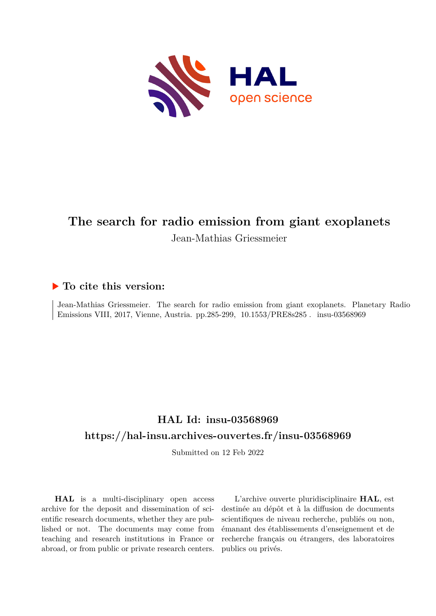

# **The search for radio emission from giant exoplanets** Jean-Mathias Griessmeier

### **To cite this version:**

Jean-Mathias Griessmeier. The search for radio emission from giant exoplanets. Planetary Radio Emissions VIII, 2017, Vienne, Austria. pp.285-299, 10.1553/PRE8s285. insu-03568969

## **HAL Id: insu-03568969 <https://hal-insu.archives-ouvertes.fr/insu-03568969>**

Submitted on 12 Feb 2022

**HAL** is a multi-disciplinary open access archive for the deposit and dissemination of scientific research documents, whether they are published or not. The documents may come from teaching and research institutions in France or abroad, or from public or private research centers.

L'archive ouverte pluridisciplinaire **HAL**, est destinée au dépôt et à la diffusion de documents scientifiques de niveau recherche, publiés ou non, émanant des établissements d'enseignement et de recherche français ou étrangers, des laboratoires publics ou privés.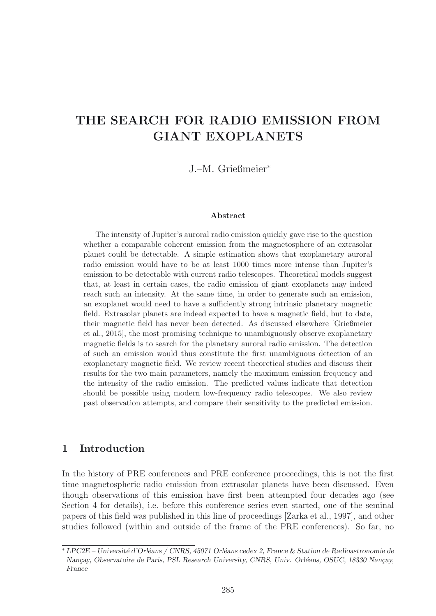## **THE SEARCH FOR RADIO EMISSION FROM GIANT EXOPLANETS**

J.–M. Grießmeier<sup>∗</sup>

#### **Abstract**

The intensity of Jupiter's auroral radio emission quickly gave rise to the question whether a comparable coherent emission from the magnetosphere of an extrasolar planet could be detectable. A simple estimation shows that exoplanetary auroral radio emission would have to be at least 1000 times more intense than Jupiter's emission to be detectable with current radio telescopes. Theoretical models suggest that, at least in certain cases, the radio emission of giant exoplanets may indeed reach such an intensity. At the same time, in order to generate such an emission, an exoplanet would need to have a sufficiently strong intrinsic planetary magnetic field. Extrasolar planets are indeed expected to have a magnetic field, but to date, their magnetic field has never been detected. As discussed elsewhere [Grießmeier et al., 2015], the most promising technique to unambiguously observe exoplanetary magnetic fields is to search for the planetary auroral radio emission. The detection of such an emission would thus constitute the first unambiguous detection of an exoplanetary magnetic field. We review recent theoretical studies and discuss their results for the two main parameters, namely the maximum emission frequency and the intensity of the radio emission. The predicted values indicate that detection should be possible using modern low-frequency radio telescopes. We also review past observation attempts, and compare their sensitivity to the predicted emission.

#### **1 Introduction**

In the history of PRE conferences and PRE conference proceedings, this is not the first time magnetospheric radio emission from extrasolar planets have been discussed. Even though observations of this emission have first been attempted four decades ago (see Section 4 for details), i.e. before this conference series even started, one of the seminal papers of this field was published in this line of proceedings [Zarka et al., 1997], and other studies followed (within and outside of the frame of the PRE conferences). So far, no

<sup>∗</sup> *LPC2E – Universit´e d'Orl´eans / CNRS, 45071 Orl´eans cedex 2, France & Station de Radioastronomie de Nançay, Observatoire de Paris, PSL Research University, CNRS, Univ. Orléans, OSUC, 18330 Nançay, France*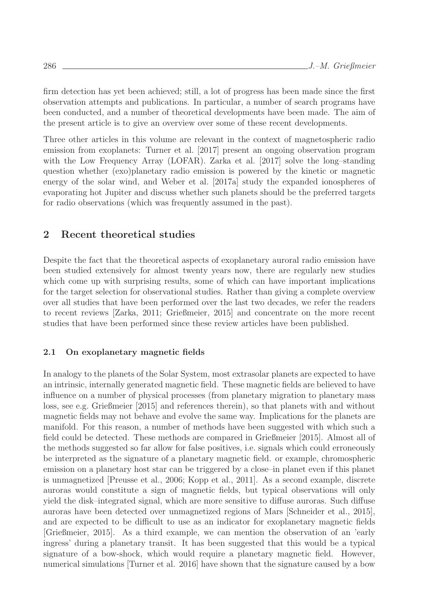firm detection has yet been achieved; still, a lot of progress has been made since the first observation attempts and publications. In particular, a number of search programs have been conducted, and a number of theoretical developments have been made. The aim of the present article is to give an overview over some of these recent developments.

Three other articles in this volume are relevant in the context of magnetospheric radio emission from exoplanets: Turner et al. [2017] present an ongoing observation program with the Low Frequency Array (LOFAR). Zarka et al. [2017] solve the long-standing question whether (exo)planetary radio emission is powered by the kinetic or magnetic energy of the solar wind, and Weber et al. [2017a] study the expanded ionospheres of evaporating hot Jupiter and discuss whether such planets should be the preferred targets for radio observations (which was frequently assumed in the past).

### **2 Recent theoretical studies**

Despite the fact that the theoretical aspects of exoplanetary auroral radio emission have been studied extensively for almost twenty years now, there are regularly new studies which come up with surprising results, some of which can have important implications for the target selection for observational studies. Rather than giving a complete overview over all studies that have been performed over the last two decades, we refer the readers to recent reviews [Zarka, 2011; Grießmeier, 2015] and concentrate on the more recent studies that have been performed since these review articles have been published.

#### **2.1 On exoplanetary magnetic fields**

In analogy to the planets of the Solar System, most extrasolar planets are expected to have an intrinsic, internally generated magnetic field. These magnetic fields are believed to have influence on a number of physical processes (from planetary migration to planetary mass loss, see e.g. Grießmeier [2015] and references therein), so that planets with and without magnetic fields may not behave and evolve the same way. Implications for the planets are manifold. For this reason, a number of methods have been suggested with which such a field could be detected. These methods are compared in Grießmeier [2015]. Almost all of the methods suggested so far allow for false positives, i.e. signals which could erroneously be interpreted as the signature of a planetary magnetic field. or example, chromospheric emission on a planetary host star can be triggered by a close–in planet even if this planet is unmagnetized [Preusse et al., 2006; Kopp et al., 2011]. As a second example, discrete auroras would constitute a sign of magnetic fields, but typical observations will only yield the disk–integrated signal, which are more sensitive to diffuse auroras. Such diffuse auroras have been detected over unmagnetized regions of Mars [Schneider et al., 2015], and are expected to be difficult to use as an indicator for exoplanetary magnetic fields [Grießmeier, 2015]. As a third example, we can mention the observation of an 'early ingress' during a planetary transit. It has been suggested that this would be a typical signature of a bow-shock, which would require a planetary magnetic field. However, numerical simulations [Turner et al. 2016] have shown that the signature caused by a bow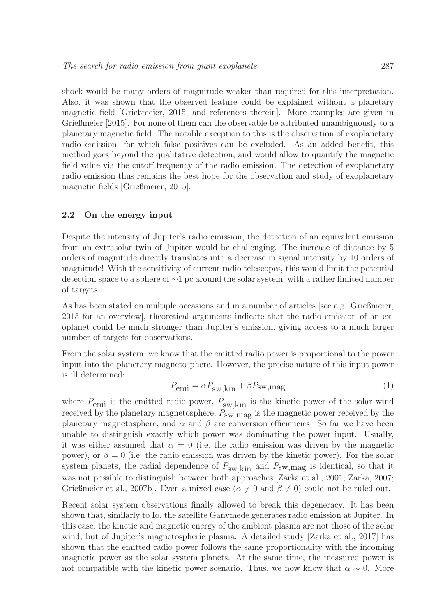shock would be many orders of magnitude weaker than required for this interpretation. Also, it was shown that the observed feature could be explained without a planetary magnetic field [Grießmeier, 2015, and references therein]. More examples are given in Grießmeier [2015]. For none of them can the observable be attributed unambiguously to a planetary magnetic field. The notable exception to this is the observation of exoplanetary radio emission, for which false positives can be excluded. As an added benefit, this method goes beyond the qualitative detection, and would allow to quantify the magnetic field value via the cutoff frequency of the radio emission. The detection of exoplanetary radio emission thus remains the best hope for the observation and study of exoplanetary magnetic fields [Grießmeier, 2015].

#### **2.2 On the energy input**

Despite the intensity of Jupiter's radio emission, the detection of an equivalent emission from an extrasolar twin of Jupiter would be challenging. The increase of distance by 5 orders of magnitude directly translates into a decrease in signal intensity by 10 orders of magnitude! With the sensitivity of current radio telescopes, this would limit the potential detection space to a sphere of ∼1 pc around the solar system, with a rather limited number of targets.

As has been stated on multiple occasions and in a number of articles [see e.g. Grießmeier, 2015 for an overview], theoretical arguments indicate that the radio emission of an exoplanet could be much stronger than Jupiter's emission, giving access to a much larger number of targets for observations.

From the solar system, we know that the emitted radio power is proportional to the power input into the planetary magnetosphere. However, the precise nature of this input power is ill determined:

$$
P_{\rm emi} = \alpha P_{\rm sw, kin} + \beta P_{\rm sw, mag} \tag{1}
$$

where  $P_{\text{emi}}$  is the emitted radio power,  $P_{\text{sw},\text{kin}}$  is the kinetic power of the solar wind received by the planetary magnetosphere,  $P_{\text{SW},\text{mag}}$  is the magnetic power received by the planetary magnetosphere, and  $\alpha$  and  $\beta$  are conversion efficiencies. So far we have been unable to distinguish exactly which power was dominating the power input. Usually, it was either assumed that  $\alpha = 0$  (i.e. the radio emission was driven by the magnetic power), or  $\beta = 0$  (i.e. the radio emission was driven by the kinetic power). For the solar system planets, the radial dependence of  $P_{\text{sw},\text{kin}}$  and  $P_{\text{sw},\text{mag}}$  is identical, so that it was not possible to distinguish between both approaches [Zarka et al., 2001; Zarka, 2007; Grießmeier et al., 2007b]. Even a mixed case ( $\alpha \neq 0$  and  $\beta \neq 0$ ) could not be ruled out.

Recent solar system observations finally allowed to break this degeneracy. It has been shown that, similarly to Io, the satellite Ganymede generates radio emission at Jupiter. In this case, the kinetic and magnetic energy of the ambient plasma are not those of the solar wind, but of Jupiter's magnetospheric plasma. A detailed study [Zarka et al., 2017] has shown that the emitted radio power follows the same proportionality with the incoming magnetic power as the solar system planets. At the same time, the measured power is not compatible with the kinetic power scenario. Thus, we now know that  $\alpha \sim 0$ . More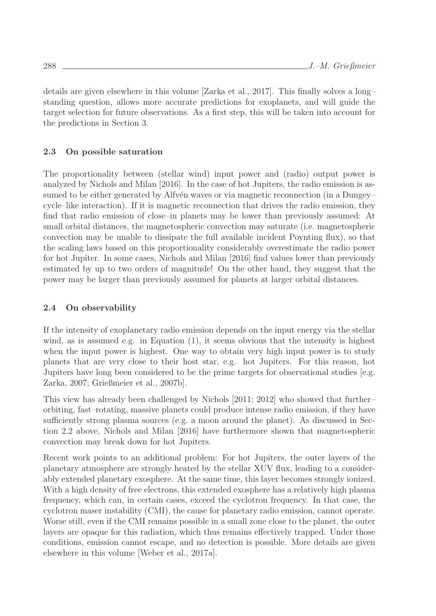details are given elsewhere in this volume [Zarka et al., 2017]. This finally solves a long– standing question, allows more accurate predictions for exoplanets, and will guide the target selection for future observations. As a first step, this will be taken into account for the predictions in Section 3.

#### **2.3 On possible saturation**

The proportionality between (stellar wind) input power and (radio) output power is analyzed by Nichols and Milan [2016]. In the case of hot Jupiters, the radio emission is assumed to be either generated by Alfvén waves or via magnetic reconnection (in a Dungey– cycle–like interaction). If it is magnetic reconnection that drives the radio emission, they find that radio emission of close–in planets may be lower than previously assumed: At small orbital distances, the magnetospheric convection may saturate (i.e. magnetospheric convection may be unable to dissipate the full available incident Poynting flux), so that the scaling laws based on this proportionality considerably overestimate the radio power for hot Jupiter. In some cases, Nichols and Milan [2016] find values lower than previously estimated by up to two orders of magnitude! On the other hand, they suggest that the power may be larger than previously assumed for planets at larger orbital distances.

#### **2.4 On observability**

If the intensity of exoplanetary radio emission depends on the input energy via the stellar wind, as is assumed e.g. in Equation (1), it seems obvious that the intensity is highest when the input power is highest. One way to obtain very high input power is to study planets that are very close to their host star, e.g. hot Jupiters. For this reason, hot Jupiters have long been considered to be the prime targets for observational studies [e.g. Zarka, 2007; Grießmeier et al., 2007b].

This view has already been challenged by Nichols [2011; 2012] who showed that further– orbiting, fast–rotating, massive planets could produce intense radio emission, if they have sufficiently strong plasma sources (e.g. a moon around the planet). As discussed in Section 2.2 above, Nichols and Milan [2016] have furthermore shown that magnetospheric convection may break down for hot Jupiters.

Recent work points to an additional problem: For hot Jupiters, the outer layers of the planetary atmosphere are strongly heated by the stellar XUV flux, leading to a considerably extended planetary exosphere. At the same time, this layer becomes strongly ionized. With a high density of free electrons, this extended exosphere has a relatively high plasma frequency, which can, in certain cases, exceed the cyclotron frequency. In that case, the cyclotron maser instability (CMI), the cause for planetary radio emission, cannot operate. Worse still, even if the CMI remains possible in a small zone close to the planet, the outer layers are opaque for this radiation, which thus remains effectively trapped. Under those conditions, emission cannot escape, and no detection is possible. More details are given elsewhere in this volume [Weber et al., 2017a].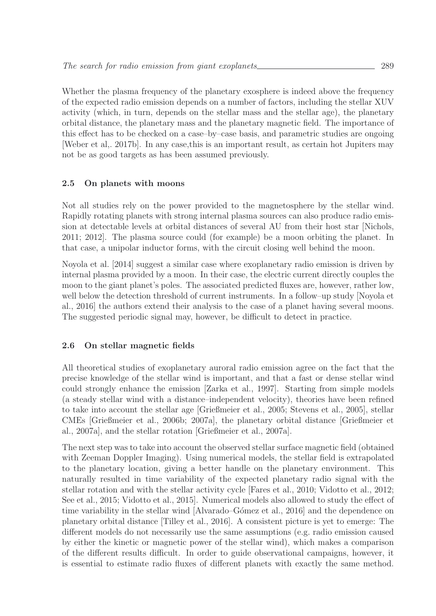Whether the plasma frequency of the planetary exosphere is indeed above the frequency of the expected radio emission depends on a number of factors, including the stellar XUV activity (which, in turn, depends on the stellar mass and the stellar age), the planetary orbital distance, the planetary mass and the planetary magnetic field. The importance of this effect has to be checked on a case–by–case basis, and parametric studies are ongoing [Weber et al,. 2017b]. In any case,this is an important result, as certain hot Jupiters may not be as good targets as has been assumed previously.

#### **2.5 On planets with moons**

Not all studies rely on the power provided to the magnetosphere by the stellar wind. Rapidly rotating planets with strong internal plasma sources can also produce radio emission at detectable levels at orbital distances of several AU from their host star [Nichols, 2011; 2012]. The plasma source could (for example) be a moon orbiting the planet. In that case, a unipolar inductor forms, with the circuit closing well behind the moon.

Noyola et al. [2014] suggest a similar case where exoplanetary radio emission is driven by internal plasma provided by a moon. In their case, the electric current directly couples the moon to the giant planet's poles. The associated predicted fluxes are, however, rather low, well below the detection threshold of current instruments. In a follow–up study [Noyola et al., 2016] the authors extend their analysis to the case of a planet having several moons. The suggested periodic signal may, however, be difficult to detect in practice.

#### **2.6 On stellar magnetic fields**

All theoretical studies of exoplanetary auroral radio emission agree on the fact that the precise knowledge of the stellar wind is important, and that a fast or dense stellar wind could strongly enhance the emission [Zarka et al., 1997]. Starting from simple models (a steady stellar wind with a distance–independent velocity), theories have been refined to take into account the stellar age [Grießmeier et al., 2005; Stevens et al., 2005], stellar CMEs [Grießmeier et al., 2006b; 2007a], the planetary orbital distance [Grießmeier et al., 2007a], and the stellar rotation [Grießmeier et al., 2007a].

The next step was to take into account the observed stellar surface magnetic field (obtained with Zeeman Doppler Imaging). Using numerical models, the stellar field is extrapolated to the planetary location, giving a better handle on the planetary environment. This naturally resulted in time variability of the expected planetary radio signal with the stellar rotation and with the stellar activity cycle [Fares et al., 2010; Vidotto et al., 2012; See et al., 2015; Vidotto et al., 2015]. Numerical models also allowed to study the effect of time variability in the stellar wind [Alvarado–Gómez et al., 2016] and the dependence on planetary orbital distance [Tilley et al., 2016]. A consistent picture is yet to emerge: The different models do not necessarily use the same assumptions (e.g. radio emission caused by either the kinetic or magnetic power of the stellar wind), which makes a comparison of the different results difficult. In order to guide observational campaigns, however, it is essential to estimate radio fluxes of different planets with exactly the same method.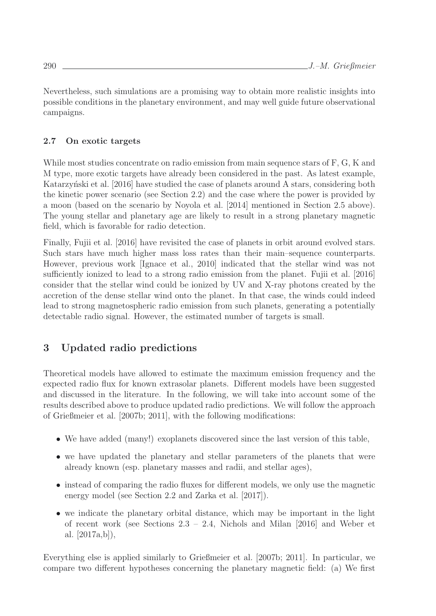Nevertheless, such simulations are a promising way to obtain more realistic insights into possible conditions in the planetary environment, and may well guide future observational campaigns.

### **2.7 On exotic targets**

While most studies concentrate on radio emission from main sequence stars of F, G, K and M type, more exotic targets have already been considered in the past. As latest example, Katarzyński et al. [2016] have studied the case of planets around A stars, considering both the kinetic power scenario (see Section 2.2) and the case where the power is provided by a moon (based on the scenario by Noyola et al. [2014] mentioned in Section 2.5 above). The young stellar and planetary age are likely to result in a strong planetary magnetic field, which is favorable for radio detection.

Finally, Fujii et al. [2016] have revisited the case of planets in orbit around evolved stars. Such stars have much higher mass loss rates than their main–sequence counterparts. However, previous work [Ignace et al., 2010] indicated that the stellar wind was not sufficiently ionized to lead to a strong radio emission from the planet. Fujii et al. [2016] consider that the stellar wind could be ionized by UV and X-ray photons created by the accretion of the dense stellar wind onto the planet. In that case, the winds could indeed lead to strong magnetospheric radio emission from such planets, generating a potentially detectable radio signal. However, the estimated number of targets is small.

## **3 Updated radio predictions**

Theoretical models have allowed to estimate the maximum emission frequency and the expected radio flux for known extrasolar planets. Different models have been suggested and discussed in the literature. In the following, we will take into account some of the results described above to produce updated radio predictions. We will follow the approach of Grießmeier et al. [2007b; 2011], with the following modifications:

- We have added (many!) exoplanets discovered since the last version of this table,
- we have updated the planetary and stellar parameters of the planets that were already known (esp. planetary masses and radii, and stellar ages),
- instead of comparing the radio fluxes for different models, we only use the magnetic energy model (see Section 2.2 and Zarka et al. [2017]).
- we indicate the planetary orbital distance, which may be important in the light of recent work (see Sections 2.3 – 2.4, Nichols and Milan [2016] and Weber et al. [2017a,b]),

Everything else is applied similarly to Grießmeier et al. [2007b; 2011]. In particular, we compare two different hypotheses concerning the planetary magnetic field: (a) We first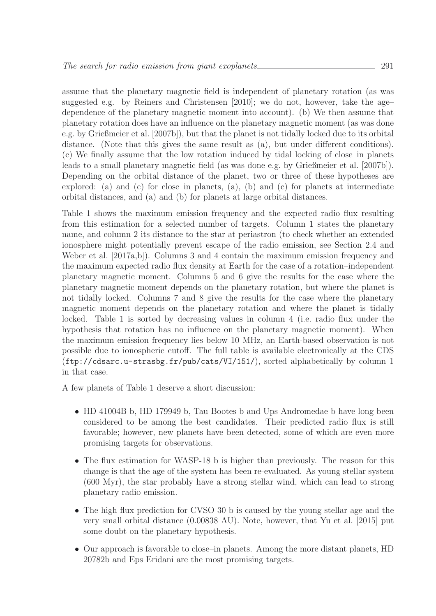assume that the planetary magnetic field is independent of planetary rotation (as was suggested e.g. by Reiners and Christensen [2010]; we do not, however, take the age– dependence of the planetary magnetic moment into account). (b) We then assume that planetary rotation does have an influence on the planetary magnetic moment (as was done e.g. by Grießmeier et al. [2007b]), but that the planet is not tidally locked due to its orbital distance. (Note that this gives the same result as (a), but under different conditions). (c) We finally assume that the low rotation induced by tidal locking of close–in planets leads to a small planetary magnetic field (as was done e.g. by Grießmeier et al. [2007b]). Depending on the orbital distance of the planet, two or three of these hypotheses are explored: (a) and (c) for close–in planets, (a), (b) and (c) for planets at intermediate orbital distances, and (a) and (b) for planets at large orbital distances.

Table 1 shows the maximum emission frequency and the expected radio flux resulting from this estimation for a selected number of targets. Column 1 states the planetary name, and column 2 its distance to the star at periastron (to check whether an extended ionosphere might potentially prevent escape of the radio emission, see Section 2.4 and Weber et al. [2017a,b]). Columns 3 and 4 contain the maximum emission frequency and the maximum expected radio flux density at Earth for the case of a rotation–independent planetary magnetic moment. Columns 5 and 6 give the results for the case where the planetary magnetic moment depends on the planetary rotation, but where the planet is not tidally locked. Columns 7 and 8 give the results for the case where the planetary magnetic moment depends on the planetary rotation and where the planet is tidally locked. Table 1 is sorted by decreasing values in column 4 (i.e. radio flux under the hypothesis that rotation has no influence on the planetary magnetic moment). When the maximum emission frequency lies below 10 MHz, an Earth-based observation is not possible due to ionospheric cutoff. The full table is available electronically at the CDS (ftp://cdsarc.u-strasbg.fr/pub/cats/VI/151/), sorted alphabetically by column 1 in that case.

A few planets of Table 1 deserve a short discussion:

- HD 41004B b, HD 179949 b, Tau Bootes b and Ups Andromedae b have long been considered to be among the best candidates. Their predicted radio flux is still favorable; however, new planets have been detected, some of which are even more promising targets for observations.
- The flux estimation for WASP-18 b is higher than previously. The reason for this change is that the age of the system has been re-evaluated. As young stellar system (600 Myr), the star probably have a strong stellar wind, which can lead to strong planetary radio emission.
- The high flux prediction for CVSO 30 b is caused by the young stellar age and the very small orbital distance (0.00838 AU). Note, however, that Yu et al. [2015] put some doubt on the planetary hypothesis.
- Our approach is favorable to close–in planets. Among the more distant planets, HD 20782b and Eps Eridani are the most promising targets.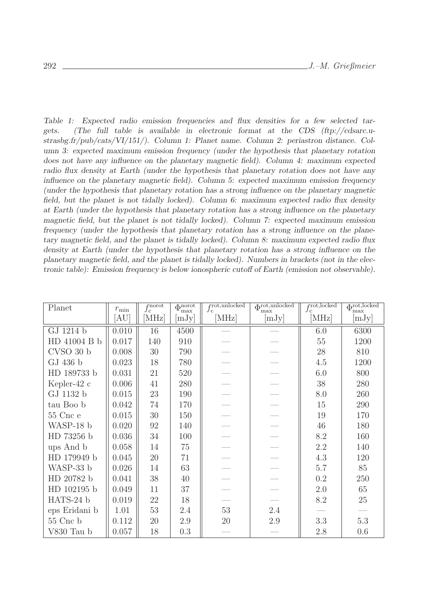*Table 1: Expected radio emission frequencies and flux densities for a few selected targets. (The full table is available in electronic format at the CDS (ftp://cdsarc.ustrasbg.fr/pub/cats/VI/151/). Column 1: Planet name. Column 2: periastron distance. Column 3: expected maximum emission frequency (under the hypothesis that planetary rotation does not have any influence on the planetary magnetic field). Column 4: maximum expected radio flux density at Earth (under the hypothesis that planetary rotation does not have any influence on the planetary magnetic field). Column 5: expected maximum emission frequency (under the hypothesis that planetary rotation has a strong influence on the planetary magnetic field, but the planet is not tidally locked). Column 6: maximum expected radio flux density at Earth (under the hypothesis that planetary rotation has a strong influence on the planetary magnetic field, but the planet is not tidally locked). Column 7: expected maximum emission frequency (under the hypothesis that planetary rotation has a strong influence on the planetary magnetic field, and the planet is tidally locked). Column 8: maximum expected radio flux density at Earth (under the hypothesis that planetary rotation has a strong influence on the planetary magnetic field, and the planet is tidally locked). Numbers in brackets (not in the electronic table): Emission frequency is below ionospheric cutoff of Earth (emission not observable).*

| Planet            | $r_{\rm min}$   | $f_{\rm c}^{\rm norot}$ | $\overline{\Phi_{\rm max}^{\rm norot}}$ | $f_{\rm c}^{\rm rot, unlocked}$ | $\Phi^{\text{rot,unlocked}}$<br>max | frot, locked<br>$J_{\rm C}$ | $\Phi_{\rm max}^{\rm rot, locked}$ |
|-------------------|-----------------|-------------------------|-----------------------------------------|---------------------------------|-------------------------------------|-----------------------------|------------------------------------|
|                   | AU <sup>l</sup> | [MHz]                   | [mJy]                                   | [MHz]                           | [mJy]                               | [MHz]                       | [mJy]                              |
| GJ 1214 b         | 0.010           | 16                      | 4500                                    |                                 |                                     | 6.0                         | 6300                               |
| HD 41004 B b      | 0.017           | 140                     | 910                                     |                                 |                                     | 55                          | 1200                               |
| CVSO 30 b         | 0.008           | $30\,$                  | 790                                     |                                 |                                     | 28                          | 810                                |
| GJ 436 b          | 0.023           | 18                      | 780                                     |                                 |                                     | 4.5                         | 1200                               |
| HD 189733 b       | 0.031           | 21                      | 520                                     |                                 |                                     | 6.0                         | 800                                |
| Kepler-42 $c$     | 0.006           | 41                      | 280                                     |                                 |                                     | 38                          | 280                                |
| GJ 1132 b         | 0.015           | 23                      | 190                                     |                                 |                                     | 8.0                         | 260                                |
| tau Boo b         | 0.042           | 74                      | 170                                     |                                 |                                     | 15                          | 290                                |
| 55 Cnc e          | 0.015           | 30                      | 150                                     |                                 |                                     | 19                          | 170                                |
| WASP-18 b         | 0.020           | 92                      | 140                                     |                                 |                                     | 46                          | 180                                |
| HD 73256 b        | 0.036           | 34                      | 100                                     |                                 |                                     | 8.2                         | 160                                |
| ups And b         | 0.058           | 14                      | 75                                      |                                 |                                     | 2.2                         | 140                                |
| HD 179949 b       | 0.045           | $20\,$                  | 71                                      |                                 |                                     | 4.3                         | 120                                |
| WASP-33 b         | 0.026           | 14                      | 63                                      |                                 |                                     | 5.7                         | 85                                 |
| HD 20782 b        | 0.041           | $38\,$                  | 40                                      |                                 |                                     | 0.2                         | 250                                |
| HD 102195 b       | 0.049           | 11                      | 37                                      |                                 |                                     | $2.0\,$                     | 65                                 |
| HATS-24 b         | 0.019           | 22                      | 18                                      |                                 |                                     | 8.2                         | $25\,$                             |
| eps Eridani b     | 1.01            | $53\,$                  | 2.4                                     | $53\,$                          | 2.4                                 |                             |                                    |
| $55$ Cnc $\rm{b}$ | 0.112           | 20                      | 2.9                                     | 20                              | $2.9\,$                             | 3.3                         | $5.3\,$                            |
| V830 Tau b        | 0.057           | 18                      | 0.3                                     |                                 |                                     | 2.8                         | 0.6                                |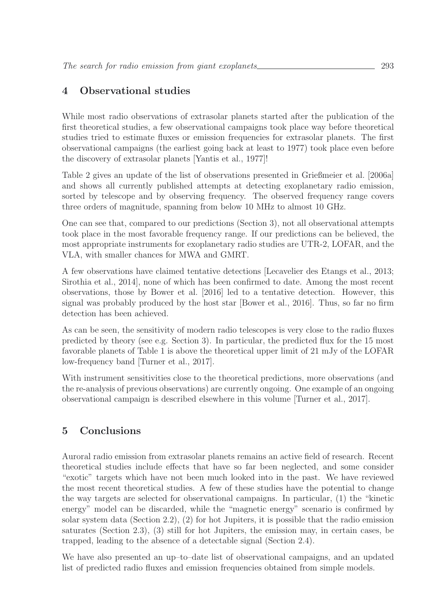## **4 Observational studies**

While most radio observations of extrasolar planets started after the publication of the first theoretical studies, a few observational campaigns took place way before theoretical studies tried to estimate fluxes or emission frequencies for extrasolar planets. The first observational campaigns (the earliest going back at least to 1977) took place even before the discovery of extrasolar planets [Yantis et al., 1977]!

Table 2 gives an update of the list of observations presented in Grießmeier et al. [2006a] and shows all currently published attempts at detecting exoplanetary radio emission, sorted by telescope and by observing frequency. The observed frequency range covers three orders of magnitude, spanning from below 10 MHz to almost 10 GHz.

One can see that, compared to our predictions (Section 3), not all observational attempts took place in the most favorable frequency range. If our predictions can be believed, the most appropriate instruments for exoplanetary radio studies are UTR-2, LOFAR, and the VLA, with smaller chances for MWA and GMRT.

A few observations have claimed tentative detections [Lecavelier des Etangs et al., 2013; Sirothia et al., 2014], none of which has been confirmed to date. Among the most recent observations, those by Bower et al. [2016] led to a tentative detection. However, this signal was probably produced by the host star [Bower et al., 2016]. Thus, so far no firm detection has been achieved.

As can be seen, the sensitivity of modern radio telescopes is very close to the radio fluxes predicted by theory (see e.g. Section 3). In particular, the predicted flux for the 15 most favorable planets of Table 1 is above the theoretical upper limit of 21 mJy of the LOFAR low-frequency band [Turner et al., 2017].

With instrument sensitivities close to the theoretical predictions, more observations (and the re-analysis of previous observations) are currently ongoing. One example of an ongoing observational campaign is described elsewhere in this volume [Turner et al., 2017].

## **5 Conclusions**

Auroral radio emission from extrasolar planets remains an active field of research. Recent theoretical studies include effects that have so far been neglected, and some consider "exotic" targets which have not been much looked into in the past. We have reviewed the most recent theoretical studies. A few of these studies have the potential to change the way targets are selected for observational campaigns. In particular, (1) the "kinetic energy" model can be discarded, while the "magnetic energy" scenario is confirmed by solar system data (Section 2.2), (2) for hot Jupiters, it is possible that the radio emission saturates (Section 2.3), (3) still for hot Jupiters, the emission may, in certain cases, be trapped, leading to the absence of a detectable signal (Section 2.4).

We have also presented an up–to–date list of observational campaigns, and an updated list of predicted radio fluxes and emission frequencies obtained from simple models.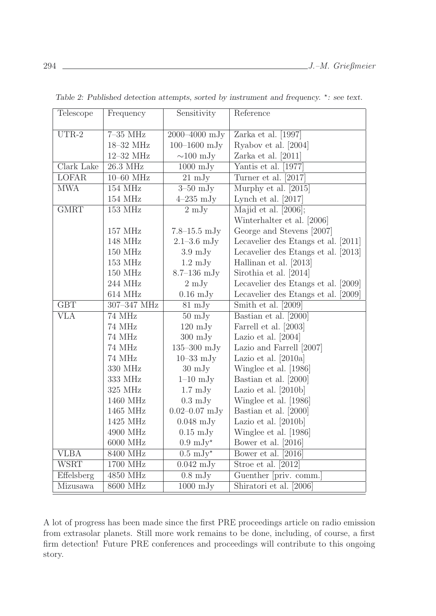| Telescope    | Frequency            | Sensitivity                 | Reference                           |
|--------------|----------------------|-----------------------------|-------------------------------------|
|              |                      |                             |                                     |
| $UTR-2$      | $7-35$ MHz           | 2000-4000 mJy               | Zarka et al. $[1997]$               |
|              | 18-32 MHz            | $100 - 1600$ mJy            | Ryabov et al. [2004]                |
|              | 12-32 MHz            | $\sim$ 100 mJy              | Zarka et al. $[2011]$               |
| Clark Lake   | 26.3 MHz             | $1000 \mathrm{mJy}$         | Yantis et al. [1977]                |
| <b>LOFAR</b> | $10-60$ MHz          | $21 \text{ mJy}$            | Turner et al. [2017]                |
| <b>MWA</b>   | 154 MHz              | $\overline{3}$ -50 mJy      | Murphy et al. [2015]                |
|              | 154 MHz              | $4-235$ mJy                 | Lynch et al. $[2017]$               |
| <b>GMRT</b>  | 153 MHz              | $2 \text{ mJy}$             | Majid et al. $[2006]$ ;             |
|              |                      |                             | Winterhalter et al. [2006]          |
|              | 157 MHz              | $7.8 - 15.5$ mJy            | George and Stevens [2007]           |
|              | 148 MHz              | $2.1 - 3.6$ mJy             | Lecavelier des Etangs et al. [2011] |
|              | 150 MHz              | $3.9 \mathrm{mJy}$          | Lecavelier des Etangs et al. [2013] |
|              | 153 MHz              | $1.2 \text{ mJy}$           | Hallinan et al. [2013]              |
|              | 150 MHz              | $8.7 - 136$ mJy             | Sirothia et al. [2014]              |
|              | 244 MHz              | $2 \mathrm{mJy}$            | Lecavelier des Etangs et al. [2009] |
|              | 614 MHz              | $0.16 \text{ mJy}$          | Lecavelier des Etangs et al. [2009] |
| <b>GBT</b>   | 307-347 MHz          | $81 \text{ mJy}$            | Smith et al. [2009]                 |
| <b>VLA</b>   | 74 MHz               | $50 \mathrm{mJy}$           | Bastian et al. [2000]               |
|              | 74 MHz               | $120 \text{ mJy}$           | Farrell et al. [2003]               |
|              | 74 MHz               | $300 \mathrm{mJy}$          | Lazio et al. $[2004]$               |
|              | 74 MHz               | $135 - 300$ mJy             | Lazio and Farrell [2007]            |
|              | 74 MHz               | $10 - 33$ mJy               | Lazio et al. $[2010a]$              |
|              | 330 MHz              | $30 \text{ mJy}$            | Winglee et al. [1986]               |
|              | 333 MHz              | $1-10$ mJy                  | Bastian et al. [2000]               |
|              | 325 MHz              | $1.7 \text{ mJy}$           | Lazio et al. $[2010b]$              |
|              | 1460 MHz             | $0.3 \mathrm{mJy}$          | Winglee et al. [1986]               |
|              | 1465 MHz             | $0.02 - 0.07$ mJy           | Bastian et al. [2000]               |
|              | 1425 MHz             | $0.048$ mJy                 | Lazio et al. [2010b]                |
|              | 4900 MHz             | $0.15 \text{ mJy}$          | Winglee et al. [1986]               |
|              | 6000 MHz             | $0.9 \mathrm{mJy}^{\star}$  | Bower et al. [2016]                 |
| <b>VLBA</b>  | 8400 MHz             | $0.5 \mathrm{~mJy}^{\star}$ | Bower et al. [2016]                 |
| <b>WSRT</b>  | 1700 MHz             | $0.042 \text{ mJy}$         | Stroe et al. [2012]                 |
| Effelsberg   | 4850 MHz             | $0.8 \mathrm{mJy}$          | Guenther [priv. comm.]              |
| Mizusawa     | $8600\ \mathrm{MHz}$ | $1000 \mathrm{mJy}$         | Shiratori et al. [2006]             |

*Table 2: Published detection attempts, sorted by instrument and frequency.* \*: see text.

A lot of progress has been made since the first PRE proceedings article on radio emission from extrasolar planets. Still more work remains to be done, including, of course, a first firm detection! Future PRE conferences and proceedings will contribute to this ongoing story.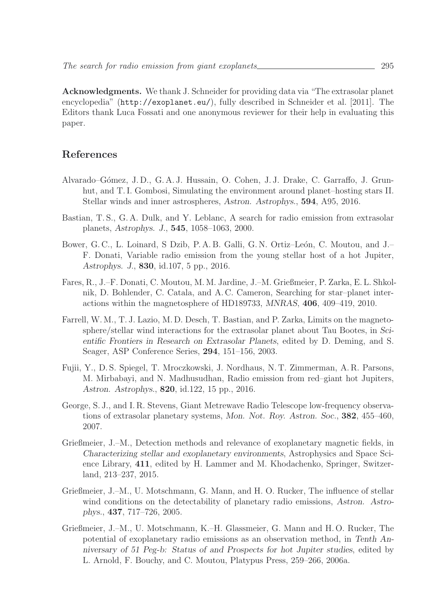**Acknowledgments.** We thank J. Schneider for providing data via "The extrasolar planet encyclopedia" (http://exoplanet.eu/), fully described in Schneider et al. [2011]. The Editors thank Luca Fossati and one anonymous reviewer for their help in evaluating this paper.

#### **References**

- Alvarado–G´omez, J. D., G. A. J. Hussain, O. Cohen, J. J. Drake, C. Garraffo, J. Grunhut, and T. I. Gombosi, Simulating the environment around planet–hosting stars II. Stellar winds and inner astrospheres, *Astron. Astrophys.*, **594**, A95, 2016.
- Bastian, T. S., G. A. Dulk, and Y. Leblanc, A search for radio emission from extrasolar planets, *Astrophys. J.*, **545**, 1058–1063, 2000.
- Bower, G. C., L. Loinard, S. Dzib, P. A. B. Galli, G. N. Ortiz–León, C. Moutou, and J. F. Donati, Variable radio emission from the young stellar host of a hot Jupiter, *Astrophys. J.*, **830**, id.107, 5 pp., 2016.
- Fares, R., J.–F. Donati, C. Moutou, M. M. Jardine, J.–M. Grießmeier, P. Zarka, E. L. Shkolnik, D. Bohlender, C. Catala, and A. C. Cameron, Searching for star–planet interactions within the magnetosphere of HD189733, *MNRAS*, **406**, 409–419, 2010.
- Farrell, W. M., T. J. Lazio, M. D. Desch, T. Bastian, and P. Zarka, Limits on the magnetosphere/stellar wind interactions for the extrasolar planet about Tau Bootes, in *Scientific Frontiers in Research on Extrasolar Planets*, edited by D. Deming, and S. Seager, ASP Conference Series, **294**, 151–156, 2003.
- Fujii, Y., D. S. Spiegel, T. Mroczkowski, J. Nordhaus, N. T. Zimmerman, A. R. Parsons, M. Mirbabayi, and N. Madhusudhan, Radio emission from red–giant hot Jupiters, *Astron. Astrophys.*, **820**, id.122, 15 pp., 2016.
- George, S. J., and I. R. Stevens, Giant Metrewave Radio Telescope low-frequency observations of extrasolar planetary systems, *Mon. Not. Roy. Astron. Soc.*, **382**, 455–460, 2007.
- Grießmeier, J.–M., Detection methods and relevance of exoplanetary magnetic fields, in *Characterizing stellar and exoplanetary environments*, Astrophysics and Space Science Library, **411**, edited by H. Lammer and M. Khodachenko, Springer, Switzerland, 213–237, 2015.
- Grießmeier, J.–M., U. Motschmann, G. Mann, and H. O. Rucker, The influence of stellar wind conditions on the detectability of planetary radio emissions, *Astron. Astrophys.*, **437**, 717–726, 2005.
- Grießmeier, J.–M., U. Motschmann, K.–H. Glassmeier, G. Mann and H. O. Rucker, The potential of exoplanetary radio emissions as an observation method, in *Tenth Anniversary of 51 Peg-b: Status of and Prospects for hot Jupiter studies*, edited by L. Arnold, F. Bouchy, and C. Moutou, Platypus Press, 259–266, 2006a.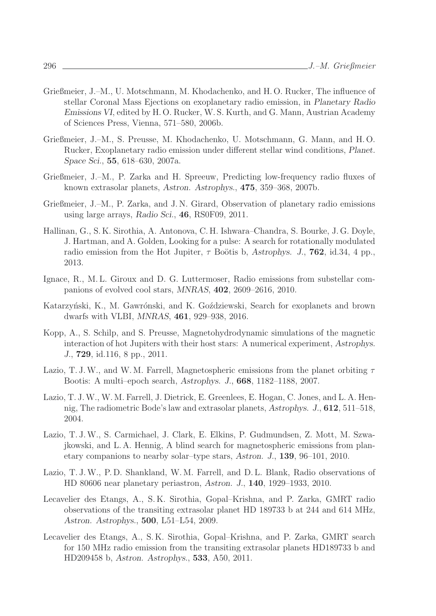- Grießmeier, J.–M., U. Motschmann, M. Khodachenko, and H. O. Rucker, The influence of stellar Coronal Mass Ejections on exoplanetary radio emission, in *Planetary Radio Emissions VI*, edited by H. O. Rucker, W. S. Kurth, and G. Mann, Austrian Academy of Sciences Press, Vienna, 571–580, 2006b.
- Grießmeier, J.–M., S. Preusse, M. Khodachenko, U. Motschmann, G. Mann, and H. O. Rucker, Exoplanetary radio emission under different stellar wind conditions, *Planet. Space Sci.*, **55**, 618–630, 2007a.
- Grießmeier, J.–M., P. Zarka and H. Spreeuw, Predicting low-frequency radio fluxes of known extrasolar planets, *Astron. Astrophys.*, **475**, 359–368, 2007b.
- Grießmeier, J.–M., P. Zarka, and J. N. Girard, Observation of planetary radio emissions using large arrays, *Radio Sci.*, **46**, RS0F09, 2011.
- Hallinan, G., S. K. Sirothia, A. Antonova, C. H. Ishwara–Chandra, S. Bourke, J. G. Doyle, J. Hartman, and A. Golden, Looking for a pulse: A search for rotationally modulated radio emission from the Hot Jupiter,  $\tau$  Boötis b, *Astrophys. J.*, **762**, id.34, 4 pp. 2013.
- Ignace, R., M. L. Giroux and D. G. Luttermoser, Radio emissions from substellar companions of evolved cool stars, *MNRAS*, **402**, 2609–2616, 2010.
- Katarzyński, K., M. Gawrónski, and K. Goździewski, Search for exoplanets and brown dwarfs with VLBI, *MNRAS*, **461**, 929–938, 2016.
- Kopp, A., S. Schilp, and S. Preusse, Magnetohydrodynamic simulations of the magnetic interaction of hot Jupiters with their host stars: A numerical experiment, *Astrophys. J.*, **729**, id.116, 8 pp., 2011.
- Lazio, T. J. W., and W. M. Farrell, Magnetospheric emissions from the planet orbiting  $\tau$ Bootis: A multi–epoch search, *Astrophys. J.*, **668**, 1182–1188, 2007.
- Lazio, T. J.W., W. M. Farrell, J. Dietrick, E. Greenlees, E. Hogan, C. Jones, and L. A. Hennig, The radiometric Bode's law and extrasolar planets, *Astrophys. J.*, **612**, 511–518, 2004.
- Lazio, T. J.W., S. Carmichael, J. Clark, E. Elkins, P. Gudmundsen, Z. Mott, M. Szwajkowski, and L. A. Hennig, A blind search for magnetospheric emissions from planetary companions to nearby solar–type stars, *Astron. J.*, **139**, 96–101, 2010.
- Lazio, T. J.W., P. D. Shankland, W. M. Farrell, and D. L. Blank, Radio observations of HD 80606 near planetary periastron, *Astron. J.*, **140**, 1929–1933, 2010.
- Lecavelier des Etangs, A., S. K. Sirothia, Gopal–Krishna, and P. Zarka, GMRT radio observations of the transiting extrasolar planet HD 189733 b at 244 and 614 MHz, *Astron. Astrophys.*, **500**, L51–L54, 2009.
- Lecavelier des Etangs, A., S. K. Sirothia, Gopal–Krishna, and P. Zarka, GMRT search for 150 MHz radio emission from the transiting extrasolar planets HD189733 b and HD209458 b, *Astron. Astrophys.*, **533**, A50, 2011.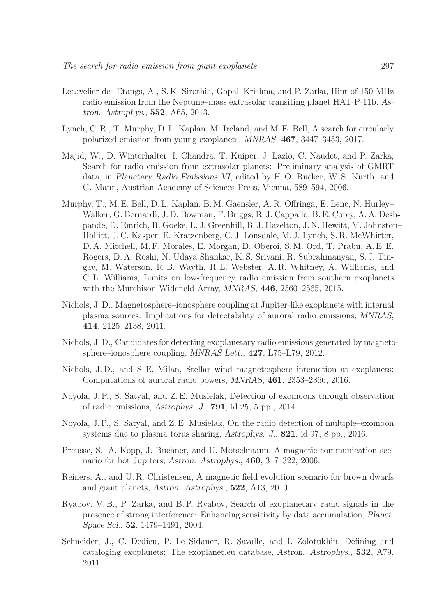- Lecavelier des Etangs, A., S. K. Sirothia, Gopal–Krishna, and P. Zarka, Hint of 150 MHz radio emission from the Neptune–mass extrasolar transiting planet HAT-P-11b, *Astron. Astrophys.*, **552**, A65, 2013.
- Lynch, C. R., T. Murphy, D. L. Kaplan, M. Ireland, and M. E. Bell, A search for circularly polarized emission from young exoplanets, *MNRAS*, **467**, 3447–3453, 2017.
- Majid, W., D. Winterhalter, I. Chandra, T. Kuiper, J. Lazio, C. Naudet, and P. Zarka, Search for radio emission from extrasolar planets: Preliminary analysis of GMRT data, in *Planetary Radio Emissions VI*, edited by H. O. Rucker, W. S. Kurth, and G. Mann, Austrian Academy of Sciences Press, Vienna, 589–594, 2006.
- Murphy, T., M. E. Bell, D. L. Kaplan, B. M. Gaensler, A. R. Offringa, E. Lenc, N. Hurley– Walker, G. Bernardi, J. D. Bowman, F. Briggs, R. J. Cappallo, B. E. Corey, A. A. Deshpande, D. Emrich, R. Goeke, L. J. Greenhill, B. J. Hazelton, J. N. Hewitt, M. Johnston– Hollitt, J. C. Kasper, E. Kratzenberg, C. J. Lonsdale, M. J. Lynch, S. R. McWhirter, D. A. Mitchell, M. F. Morales, E. Morgan, D. Oberoi, S. M. Ord, T. Prabu, A. E. E. Rogers, D. A. Roshi, N. Udaya Shankar, K. S. Srivani, R. Subrahmanyan, S. J. Tingay, M. Waterson, R. B. Wayth, R. L. Webster, A. R. Whitney, A. Williams, and C. L. Williams, Limits on low-frequency radio emission from southern exoplanets with the Murchison Widefield Array, *MNRAS*, **446**, 2560–2565, 2015.
- Nichols, J. D., Magnetosphere–ionosphere coupling at Jupiter-like exoplanets with internal plasma sources: Implications for detectability of auroral radio emissions, *MNRAS*, **414**, 2125–2138, 2011.
- Nichols, J. D., Candidates for detecting exoplanetary radio emissions generated by magnetosphere–ionosphere coupling, *MNRAS Lett.*, **427**, L75–L79, 2012.
- Nichols, J. D., and S. E. Milan, Stellar wind–magnetosphere interaction at exoplanets: Computations of auroral radio powers, *MNRAS*, **461**, 2353–2366, 2016.
- Noyola, J. P., S. Satyal, and Z. E. Musielak, Detection of exomoons through observation of radio emissions, *Astrophys. J.*, **791**, id.25, 5 pp., 2014.
- Noyola, J. P., S. Satyal, and Z. E. Musielak, On the radio detection of multiple–exomoon systems due to plasma torus sharing, *Astrophys. J.*, **821**, id.97, 8 pp., 2016.
- Preusse, S., A. Kopp, J. Buchner, and U. Motschmann, A magnetic communication scenario for hot Jupiters, *Astron. Astrophys.*, **460**, 317–322, 2006.
- Reiners, A., and U. R. Christensen, A magnetic field evolution scenario for brown dwarfs and giant planets, *Astron. Astrophys.*, **522**, A13, 2010.
- Ryabov, V. B., P. Zarka, and B. P. Ryabov, Search of exoplanetary radio signals in the presence of strong interference: Enhancing sensitivity by data accumulation, *Planet. Space Sci.*, **52**, 1479–1491, 2004.
- Schneider, J., C. Dedieu, P. Le Sidaner, R. Savalle, and I. Zolotukhin, Defining and cataloging exoplanets: The exoplanet.eu database, *Astron. Astrophys.*, **532**, A79, 2011.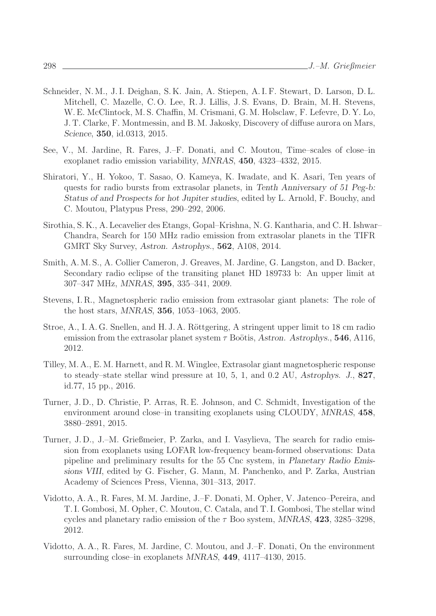- Schneider, N. M., J. I. Deighan, S. K. Jain, A. Stiepen, A. I. F. Stewart, D. Larson, D. L. Mitchell, C. Mazelle, C. O. Lee, R. J. Lillis, J. S. Evans, D. Brain, M. H. Stevens, W. E. McClintock, M. S. Chaffin, M. Crismani, G. M. Holsclaw, F. Lefevre, D. Y. Lo, J. T. Clarke, F. Montmessin, and B. M. Jakosky, Discovery of diffuse aurora on Mars, *Science*, **350**, id.0313, 2015.
- See, V., M. Jardine, R. Fares, J.–F. Donati, and C. Moutou, Time–scales of close–in exoplanet radio emission variability, *MNRAS*, **450**, 4323–4332, 2015.
- Shiratori, Y., H. Yokoo, T. Sasao, O. Kameya, K. Iwadate, and K. Asari, Ten years of quests for radio bursts from extrasolar planets, in *Tenth Anniversary of 51 Peg-b: Status of and Prospects for hot Jupiter studies*, edited by L. Arnold, F. Bouchy, and C. Moutou, Platypus Press, 290–292, 2006.
- Sirothia, S. K., A. Lecavelier des Etangs, Gopal–Krishna, N. G. Kantharia, and C. H. Ishwar– Chandra, Search for 150 MHz radio emission from extrasolar planets in the TIFR GMRT Sky Survey, *Astron. Astrophys.*, **562**, A108, 2014.
- Smith, A. M. S., A. Collier Cameron, J. Greaves, M. Jardine, G. Langston, and D. Backer, Secondary radio eclipse of the transiting planet HD 189733 b: An upper limit at 307–347 MHz, *MNRAS*, **395**, 335–341, 2009.
- Stevens, I. R., Magnetospheric radio emission from extrasolar giant planets: The role of the host stars, *MNRAS*, **356**, 1053–1063, 2005.
- Stroe, A., I. A. G. Snellen, and H. J. A. Röttgering, A stringent upper limit to 18 cm radio emission from the extrasolar planet system  $\tau$  Boötis, *Astron. Astrophys.*, **546**, A116, 2012.
- Tilley, M. A., E. M. Harnett, and R. M. Winglee, Extrasolar giant magnetospheric response to steady–state stellar wind pressure at 10, 5, 1, and 0.2 AU, *Astrophys. J.*, **827**, id.77, 15 pp., 2016.
- Turner, J. D., D. Christie, P. Arras, R. E. Johnson, and C. Schmidt, Investigation of the environment around close–in transiting exoplanets using CLOUDY, *MNRAS*, **458**, 3880–2891, 2015.
- Turner, J. D., J.–M. Grießmeier, P. Zarka, and I. Vasylieva, The search for radio emission from exoplanets using LOFAR low-frequency beam-formed observations: Data pipeline and preliminary results for the 55 Cnc system, in *Planetary Radio Emissions VIII*, edited by G. Fischer, G. Mann, M. Panchenko, and P. Zarka, Austrian Academy of Sciences Press, Vienna, 301–313, 2017.
- Vidotto, A. A., R. Fares, M. M. Jardine, J.–F. Donati, M. Opher, V. Jatenco–Pereira, and T. I. Gombosi, M. Opher, C. Moutou, C. Catala, and T. I. Gombosi, The stellar wind cycles and planetary radio emission of the  $\tau$  Boo system, *MNRAS*, **423**, 3285–3298, 2012.
- Vidotto, A. A., R. Fares, M. Jardine, C. Moutou, and J.–F. Donati, On the environment surrounding close–in exoplanets *MNRAS*, **449**, 4117–4130, 2015.